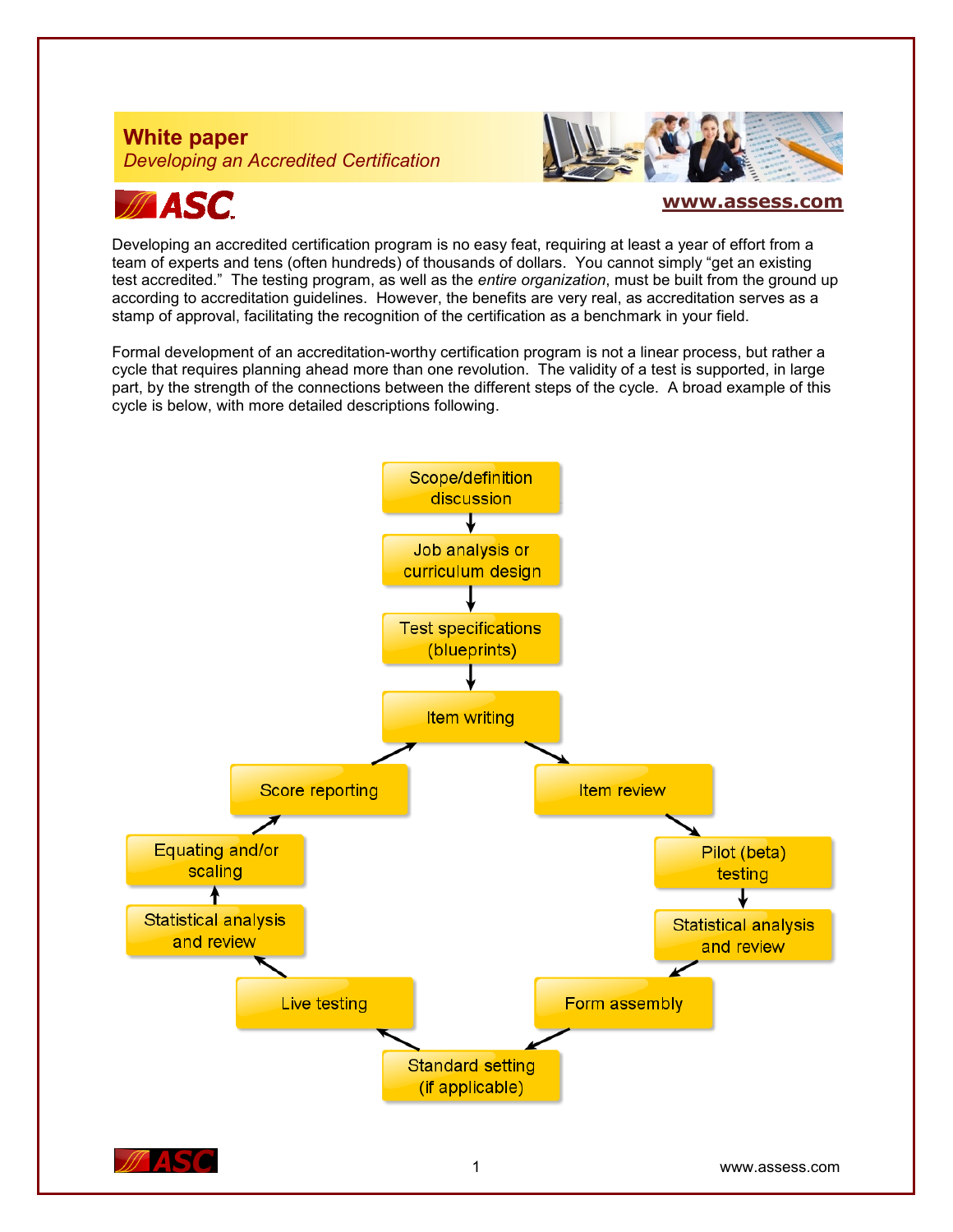# **White paper** *Developing an Accredited Certification*



# **ASC**

## **[www.assess.com](http://www.assess.com/)**

Developing an accredited certification program is no easy feat, requiring at least a year of effort from a team of experts and tens (often hundreds) of thousands of dollars. You cannot simply "get an existing test accredited." The testing program, as well as the *entire organization*, must be built from the ground up according to accreditation guidelines. However, the benefits are very real, as accreditation serves as a stamp of approval, facilitating the recognition of the certification as a benchmark in your field.

Formal development of an accreditation-worthy certification program is not a linear process, but rather a cycle that requires planning ahead more than one revolution. The validity of a test is supported, in large part, by the strength of the connections between the different steps of the cycle. A broad example of this cycle is below, with more detailed descriptions following.

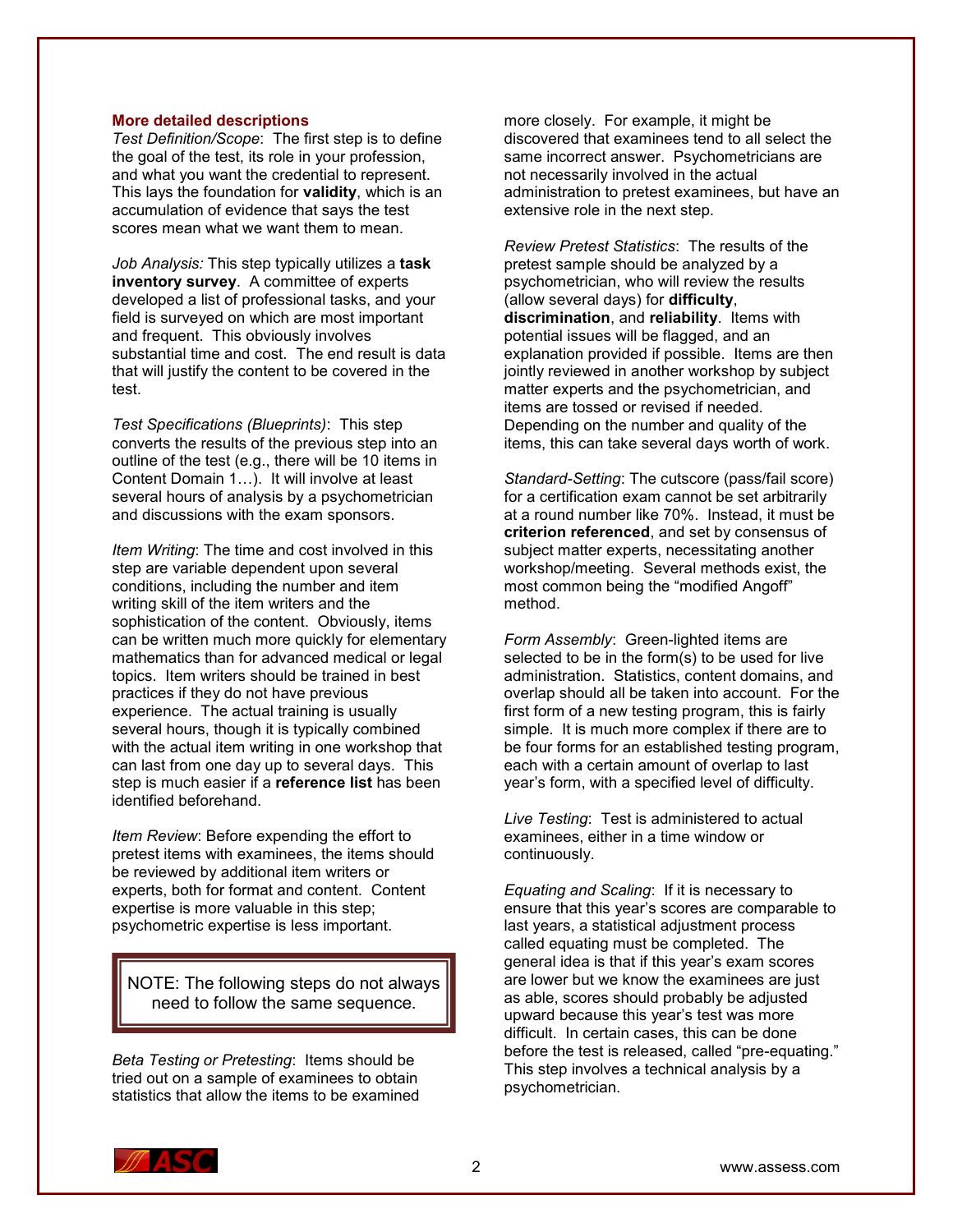#### **More detailed descriptions**

*Test Definition/Scope*: The first step is to define the goal of the test, its role in your profession, and what you want the credential to represent. This lays the foundation for **validity**, which is an accumulation of evidence that says the test scores mean what we want them to mean.

*Job Analysis:* This step typically utilizes a **task inventory survey**. A committee of experts developed a list of professional tasks, and your field is surveyed on which are most important and frequent. This obviously involves substantial time and cost. The end result is data that will justify the content to be covered in the test.

*Test Specifications (Blueprints)*: This step converts the results of the previous step into an outline of the test (e.g., there will be 10 items in Content Domain 1…). It will involve at least several hours of analysis by a psychometrician and discussions with the exam sponsors.

*Item Writing*: The time and cost involved in this step are variable dependent upon several conditions, including the number and item writing skill of the item writers and the sophistication of the content. Obviously, items can be written much more quickly for elementary mathematics than for advanced medical or legal topics. Item writers should be trained in best practices if they do not have previous experience. The actual training is usually several hours, though it is typically combined with the actual item writing in one workshop that can last from one day up to several days. This step is much easier if a **reference list** has been identified beforehand.

*Item Review*: Before expending the effort to pretest items with examinees, the items should be reviewed by additional item writers or experts, both for format and content. Content expertise is more valuable in this step; psychometric expertise is less important.

NOTE: The following steps do not always need to follow the same sequence.

*Beta Testing or Pretesting*: Items should be tried out on a sample of examinees to obtain statistics that allow the items to be examined more closely. For example, it might be discovered that examinees tend to all select the same incorrect answer. Psychometricians are not necessarily involved in the actual administration to pretest examinees, but have an extensive role in the next step.

*Review Pretest Statistics*: The results of the pretest sample should be analyzed by a psychometrician, who will review the results (allow several days) for **difficulty**, **discrimination**, and **reliability**. Items with potential issues will be flagged, and an explanation provided if possible. Items are then jointly reviewed in another workshop by subject matter experts and the psychometrician, and items are tossed or revised if needed. Depending on the number and quality of the items, this can take several days worth of work.

*Standard-Setting*: The cutscore (pass/fail score) for a certification exam cannot be set arbitrarily at a round number like 70%. Instead, it must be **criterion referenced**, and set by consensus of subject matter experts, necessitating another workshop/meeting. Several methods exist, the most common being the "modified Angoff" method.

*Form Assembly*: Green-lighted items are selected to be in the form(s) to be used for live administration. Statistics, content domains, and overlap should all be taken into account. For the first form of a new testing program, this is fairly simple. It is much more complex if there are to be four forms for an established testing program, each with a certain amount of overlap to last year's form, with a specified level of difficulty.

*Live Testing*: Test is administered to actual examinees, either in a time window or continuously.

*Equating and Scaling*: If it is necessary to ensure that this year's scores are comparable to last years, a statistical adjustment process called equating must be completed. The general idea is that if this year's exam scores are lower but we know the examinees are just as able, scores should probably be adjusted upward because this year's test was more difficult. In certain cases, this can be done before the test is released, called "pre-equating." This step involves a technical analysis by a psychometrician.